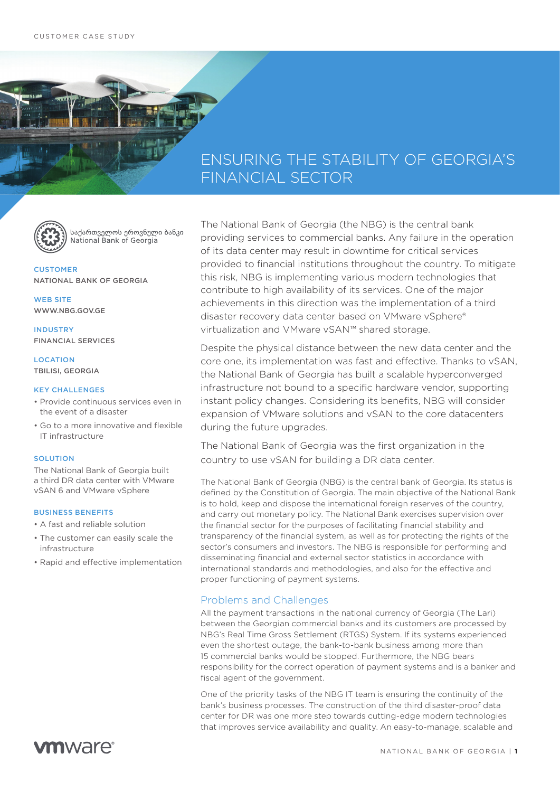# ENSURING THE STABILITY OF GEORGIA'S FINANCIAL SECTOR



საქართველოს ეროვნული ბანკი National Bank of Georgia

CUSTOMER NATIONAL BANK OF GEORGIA

WEB SITE WWW.NBG.GOV.GE

INDUSTRY FINANCIAL SERVICES

**LOCATION** TBILISI, GEORGIA

#### KEY CHALLENGES

- Provide continuous services even in the event of a disaster
- Go to a more innovative and flexible IT infrastructure

#### SOLUTION

The National Bank of Georgia built a third DR data center with VMware vSAN 6 and VMware vSphere

#### BUSINESS BENEFITS

- A fast and reliable solution
- The customer can easily scale the infrastructure
- Rapid and effective implementation

The National Bank of Georgia (the NBG) is the central bank providing services to commercial banks. Any failure in the operation of its data center may result in downtime for critical services provided to financial institutions throughout the country. To mitigate this risk, NBG is implementing various modern technologies that contribute to high availability of its services. One of the major achievements in this direction was the implementation of a third disaster recovery data center based on VMware vSphere® virtualization and VMware vSAN™ shared storage.

Despite the physical distance between the new data center and the core one, its implementation was fast and effective. Thanks to vSAN, the National Bank of Georgia has built a scalable hyperconverged infrastructure not bound to a specific hardware vendor, supporting instant policy changes. Considering its benefits, NBG will consider expansion of VMware solutions and vSAN to the core datacenters during the future upgrades.

The National Bank of Georgia was the first organization in the country to use vSAN for building a DR data center.

The National Bank of Georgia (NBG) is the central bank of Georgia. Its status is defined by the Constitution of Georgia. The main objective of the National Bank is to hold, keep and dispose the international foreign reserves of the country, and carry out monetary policy. The National Bank exercises supervision over the financial sector for the purposes of facilitating financial stability and transparency of the financial system, as well as for protecting the rights of the sector's consumers and investors. The NBG is responsible for performing and disseminating financial and external sector statistics in accordance with international standards and methodologies, and also for the effective and proper functioning of payment systems.

## Problems and Challenges

All the payment transactions in the national currency of Georgia (The Lari) between the Georgian commercial banks and its customers are processed by NBG's Real Time Gross Settlement (RTGS) System. If its systems experienced even the shortest outage, the bank-to-bank business among more than 15 commercial banks would be stopped. Furthermore, the NBG bears responsibility for the correct operation of payment systems and is a banker and fiscal agent of the government.

One of the priority tasks of the NBG IT team is ensuring the continuity of the bank's business processes. The construction of the third disaster-proof data center for DR was one more step towards cutting-edge modern technologies that improves service availability and quality. An easy-to-manage, scalable and

**vm**ware<sup>®</sup>